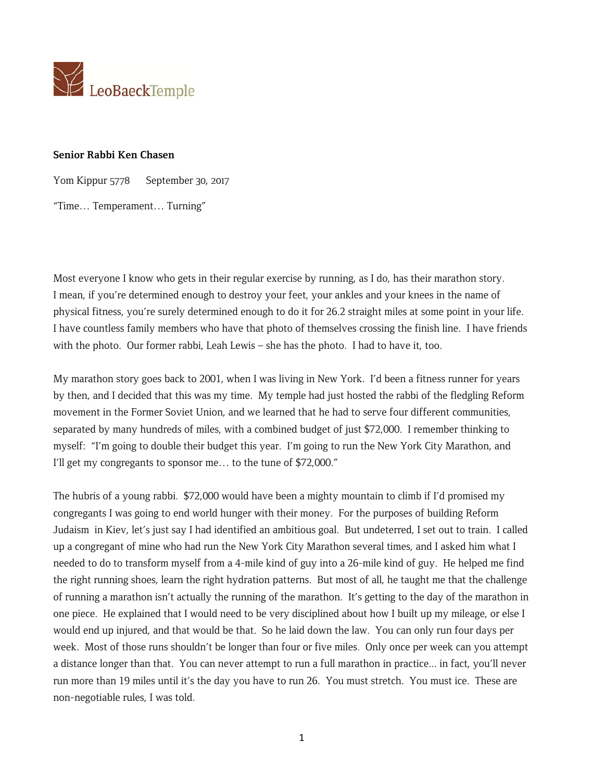

## **Senior Rabbi Ken Chasen**

Yom Kippur 5778 September 30, 2017

"Time… Temperament… Turning"

Most everyone I know who gets in their regular exercise by running, as I do, has their marathon story. I mean, if you're determined enough to destroy your feet, your ankles and your knees in the name of physical fitness, you're surely determined enough to do it for 26.2 straight miles at some point in your life. I have countless family members who have that photo of themselves crossing the finish line. I have friends with the photo. Our former rabbi, Leah Lewis – she has the photo. I had to have it, too.

My marathon story goes back to 2001, when I was living in New York. I'd been a fitness runner for years by then, and I decided that this was my time. My temple had just hosted the rabbi of the fledgling Reform movement in the Former Soviet Union, and we learned that he had to serve four different communities, separated by many hundreds of miles, with a combined budget of just \$72,000. I remember thinking to myself: "I'm going to double their budget this year. I'm going to run the New York City Marathon, and I'll get my congregants to sponsor me… to the tune of \$72,000."

The hubris of a young rabbi. \$72,000 would have been a mighty mountain to climb if I'd promised my congregants I was going to end world hunger with their money. For the purposes of building Reform Judaism in Kiev, let's just say I had identified an ambitious goal. But undeterred, I set out to train. I called up a congregant of mine who had run the New York City Marathon several times, and I asked him what I needed to do to transform myself from a 4-mile kind of guy into a 26-mile kind of guy. He helped me find the right running shoes, learn the right hydration patterns. But most of all, he taught me that the challenge of running a marathon isn't actually the running of the marathon. It's getting to the day of the marathon in one piece. He explained that I would need to be very disciplined about how I built up my mileage, or else I would end up injured, and that would be that. So he laid down the law. You can only run four days per week. Most of those runs shouldn't be longer than four or five miles. Only once per week can you attempt a distance longer than that. You can never attempt to run a full marathon in practice... in fact, you'll never run more than 19 miles until it's the day you have to run 26. You must stretch. You must ice. These are non-negotiable rules, I was told.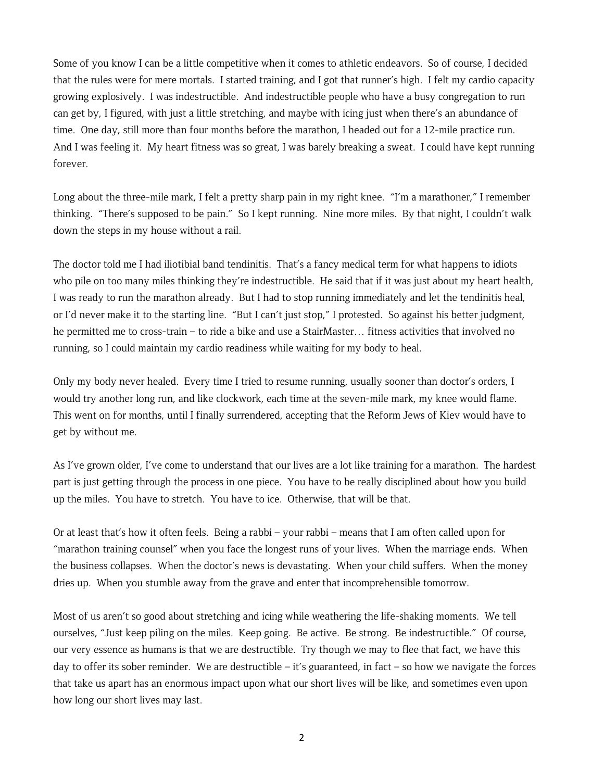Some of you know I can be a little competitive when it comes to athletic endeavors. So of course, I decided that the rules were for mere mortals. I started training, and I got that runner's high. I felt my cardio capacity growing explosively. I was indestructible. And indestructible people who have a busy congregation to run can get by, I figured, with just a little stretching, and maybe with icing just when there's an abundance of time. One day, still more than four months before the marathon, I headed out for a 12-mile practice run. And I was feeling it. My heart fitness was so great, I was barely breaking a sweat. I could have kept running forever.

Long about the three-mile mark, I felt a pretty sharp pain in my right knee. "I'm a marathoner," I remember thinking. "There's supposed to be pain." So I kept running. Nine more miles. By that night, I couldn't walk down the steps in my house without a rail.

The doctor told me I had iliotibial band tendinitis. That's a fancy medical term for what happens to idiots who pile on too many miles thinking they're indestructible. He said that if it was just about my heart health, I was ready to run the marathon already. But I had to stop running immediately and let the tendinitis heal, or I'd never make it to the starting line. "But I can't just stop," I protested. So against his better judgment, he permitted me to cross-train – to ride a bike and use a StairMaster… fitness activities that involved no running, so I could maintain my cardio readiness while waiting for my body to heal.

Only my body never healed. Every time I tried to resume running, usually sooner than doctor's orders, I would try another long run, and like clockwork, each time at the seven-mile mark, my knee would flame. This went on for months, until I finally surrendered, accepting that the Reform Jews of Kiev would have to get by without me.

As I've grown older, I've come to understand that our lives are a lot like training for a marathon. The hardest part is just getting through the process in one piece. You have to be really disciplined about how you build up the miles. You have to stretch. You have to ice. Otherwise, that will be that.

Or at least that's how it often feels. Being a rabbi – your rabbi – means that I am often called upon for "marathon training counsel" when you face the longest runs of your lives. When the marriage ends. When the business collapses. When the doctor's news is devastating. When your child suffers. When the money dries up. When you stumble away from the grave and enter that incomprehensible tomorrow.

Most of us aren't so good about stretching and icing while weathering the life-shaking moments. We tell ourselves, "Just keep piling on the miles. Keep going. Be active. Be strong. Be indestructible." Of course, our very essence as humans is that we are destructible. Try though we may to flee that fact, we have this day to offer its sober reminder. We are destructible – it's guaranteed, in fact – so how we navigate the forces that take us apart has an enormous impact upon what our short lives will be like, and sometimes even upon how long our short lives may last.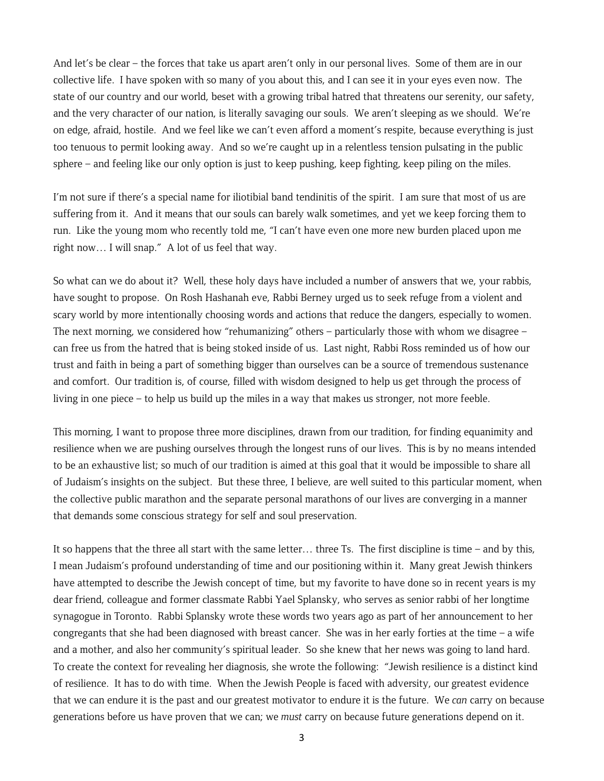And let's be clear – the forces that take us apart aren't only in our personal lives. Some of them are in our collective life. I have spoken with so many of you about this, and I can see it in your eyes even now. The state of our country and our world, beset with a growing tribal hatred that threatens our serenity, our safety, and the very character of our nation, is literally savaging our souls. We aren't sleeping as we should. We're on edge, afraid, hostile. And we feel like we can't even afford a moment's respite, because everything is just too tenuous to permit looking away. And so we're caught up in a relentless tension pulsating in the public sphere – and feeling like our only option is just to keep pushing, keep fighting, keep piling on the miles.

I'm not sure if there's a special name for iliotibial band tendinitis of the spirit. I am sure that most of us are suffering from it. And it means that our souls can barely walk sometimes, and yet we keep forcing them to run. Like the young mom who recently told me, "I can't have even one more new burden placed upon me right now… I will snap." A lot of us feel that way.

So what can we do about it? Well, these holy days have included a number of answers that we, your rabbis, have sought to propose. On Rosh Hashanah eve, Rabbi Berney urged us to seek refuge from a violent and scary world by more intentionally choosing words and actions that reduce the dangers, especially to women. The next morning, we considered how "rehumanizing" others – particularly those with whom we disagree – can free us from the hatred that is being stoked inside of us. Last night, Rabbi Ross reminded us of how our trust and faith in being a part of something bigger than ourselves can be a source of tremendous sustenance and comfort. Our tradition is, of course, filled with wisdom designed to help us get through the process of living in one piece – to help us build up the miles in a way that makes us stronger, not more feeble.

This morning, I want to propose three more disciplines, drawn from our tradition, for finding equanimity and resilience when we are pushing ourselves through the longest runs of our lives. This is by no means intended to be an exhaustive list; so much of our tradition is aimed at this goal that it would be impossible to share all of Judaism's insights on the subject. But these three, I believe, are well suited to this particular moment, when the collective public marathon and the separate personal marathons of our lives are converging in a manner that demands some conscious strategy for self and soul preservation.

It so happens that the three all start with the same letter… three Ts. The first discipline is time – and by this, I mean Judaism's profound understanding of time and our positioning within it. Many great Jewish thinkers have attempted to describe the Jewish concept of time, but my favorite to have done so in recent years is my dear friend, colleague and former classmate Rabbi Yael Splansky, who serves as senior rabbi of her longtime synagogue in Toronto. Rabbi Splansky wrote these words two years ago as part of her announcement to her congregants that she had been diagnosed with breast cancer. She was in her early forties at the time – a wife and a mother, and also her community's spiritual leader. So she knew that her news was going to land hard. To create the context for revealing her diagnosis, she wrote the following: "Jewish resilience is a distinct kind of resilience. It has to do with time. When the Jewish People is faced with adversity, our greatest evidence that we can endure it is the past and our greatest motivator to endure it is the future. We *can* carry on because generations before us have proven that we can; we *must* carry on because future generations depend on it.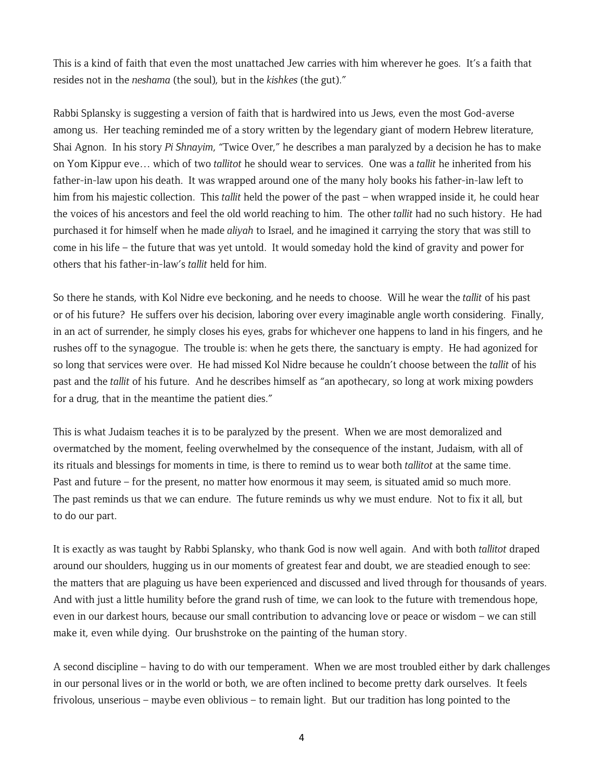This is a kind of faith that even the most unattached Jew carries with him wherever he goes. It's a faith that resides not in the *neshama* (the soul), but in the *kishkes* (the gut)."

Rabbi Splansky is suggesting a version of faith that is hardwired into us Jews, even the most God-averse among us. Her teaching reminded me of a story written by the legendary giant of modern Hebrew literature, Shai Agnon. In his story *Pi Shnayim*, "Twice Over," he describes a man paralyzed by a decision he has to make on Yom Kippur eve… which of two *tallitot* he should wear to services. One was a *tallit* he inherited from his father-in-law upon his death. It was wrapped around one of the many holy books his father-in-law left to him from his majestic collection. This *tallit* held the power of the past – when wrapped inside it, he could hear the voices of his ancestors and feel the old world reaching to him. The other *tallit* had no such history. He had purchased it for himself when he made *aliyah* to Israel, and he imagined it carrying the story that was still to come in his life – the future that was yet untold. It would someday hold the kind of gravity and power for others that his father-in-law's *tallit* held for him.

So there he stands, with Kol Nidre eve beckoning, and he needs to choose. Will he wear the *tallit* of his past or of his future? He suffers over his decision, laboring over every imaginable angle worth considering. Finally, in an act of surrender, he simply closes his eyes, grabs for whichever one happens to land in his fingers, and he rushes off to the synagogue. The trouble is: when he gets there, the sanctuary is empty. He had agonized for so long that services were over. He had missed Kol Nidre because he couldn't choose between the *tallit* of his past and the *tallit* of his future. And he describes himself as "an apothecary, so long at work mixing powders for a drug, that in the meantime the patient dies."

This is what Judaism teaches it is to be paralyzed by the present. When we are most demoralized and overmatched by the moment, feeling overwhelmed by the consequence of the instant, Judaism, with all of its rituals and blessings for moments in time, is there to remind us to wear both *tallitot* at the same time. Past and future – for the present, no matter how enormous it may seem, is situated amid so much more. The past reminds us that we can endure. The future reminds us why we must endure. Not to fix it all, but to do our part.

It is exactly as was taught by Rabbi Splansky, who thank God is now well again. And with both *tallitot* draped around our shoulders, hugging us in our moments of greatest fear and doubt, we are steadied enough to see: the matters that are plaguing us have been experienced and discussed and lived through for thousands of years. And with just a little humility before the grand rush of time, we can look to the future with tremendous hope, even in our darkest hours, because our small contribution to advancing love or peace or wisdom – we can still make it, even while dying. Our brushstroke on the painting of the human story.

A second discipline – having to do with our temperament. When we are most troubled either by dark challenges in our personal lives or in the world or both, we are often inclined to become pretty dark ourselves. It feels frivolous, unserious – maybe even oblivious – to remain light. But our tradition has long pointed to the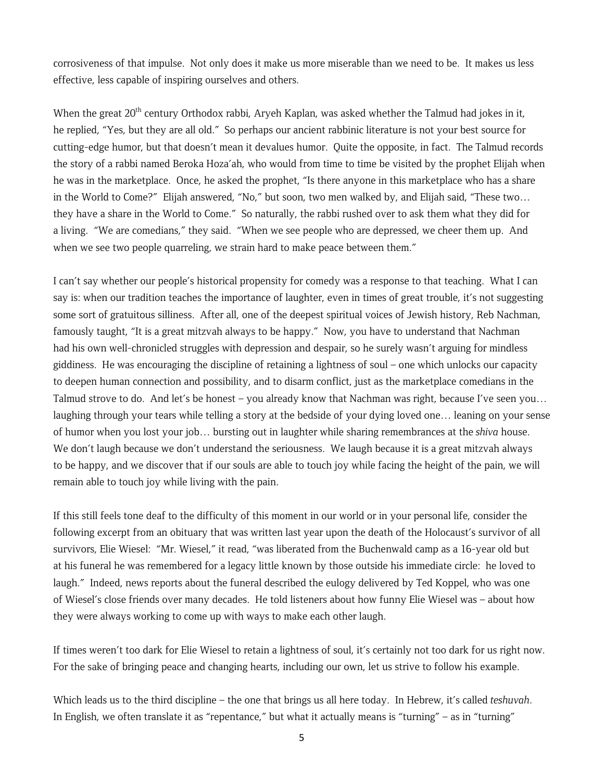corrosiveness of that impulse. Not only does it make us more miserable than we need to be. It makes us less effective, less capable of inspiring ourselves and others.

When the great 20<sup>th</sup> century Orthodox rabbi, Aryeh Kaplan, was asked whether the Talmud had jokes in it, he replied, "Yes, but they are all old." So perhaps our ancient rabbinic literature is not your best source for cutting-edge humor, but that doesn't mean it devalues humor. Quite the opposite, in fact. The Talmud records the story of a rabbi named Beroka Hoza'ah, who would from time to time be visited by the prophet Elijah when he was in the marketplace. Once, he asked the prophet, "Is there anyone in this marketplace who has a share in the World to Come?" Elijah answered, "No," but soon, two men walked by, and Elijah said, "These two… they have a share in the World to Come." So naturally, the rabbi rushed over to ask them what they did for a living. "We are comedians," they said. "When we see people who are depressed, we cheer them up. And when we see two people quarreling, we strain hard to make peace between them."

I can't say whether our people's historical propensity for comedy was a response to that teaching. What I can say is: when our tradition teaches the importance of laughter, even in times of great trouble, it's not suggesting some sort of gratuitous silliness. After all, one of the deepest spiritual voices of Jewish history, Reb Nachman, famously taught, "It is a great mitzvah always to be happy." Now, you have to understand that Nachman had his own well-chronicled struggles with depression and despair, so he surely wasn't arguing for mindless giddiness. He was encouraging the discipline of retaining a lightness of soul – one which unlocks our capacity to deepen human connection and possibility, and to disarm conflict, just as the marketplace comedians in the Talmud strove to do. And let's be honest – you already know that Nachman was right, because I've seen you… laughing through your tears while telling a story at the bedside of your dying loved one… leaning on your sense of humor when you lost your job… bursting out in laughter while sharing remembrances at the *shiva* house. We don't laugh because we don't understand the seriousness. We laugh because it is a great mitzvah always to be happy, and we discover that if our souls are able to touch joy while facing the height of the pain, we will remain able to touch joy while living with the pain.

If this still feels tone deaf to the difficulty of this moment in our world or in your personal life, consider the following excerpt from an obituary that was written last year upon the death of the Holocaust's survivor of all survivors, Elie Wiesel: "Mr. Wiesel," it read, "was liberated from the Buchenwald camp as a 16-year old but at his funeral he was remembered for a legacy little known by those outside his immediate circle: he loved to laugh." Indeed, news reports about the funeral described the eulogy delivered by Ted Koppel, who was one of Wiesel's close friends over many decades. He told listeners about how funny Elie Wiesel was – about how they were always working to come up with ways to make each other laugh.

If times weren't too dark for Elie Wiesel to retain a lightness of soul, it's certainly not too dark for us right now. For the sake of bringing peace and changing hearts, including our own, let us strive to follow his example.

Which leads us to the third discipline – the one that brings us all here today. In Hebrew, it's called *teshuvah*. In English, we often translate it as "repentance," but what it actually means is "turning" – as in "turning"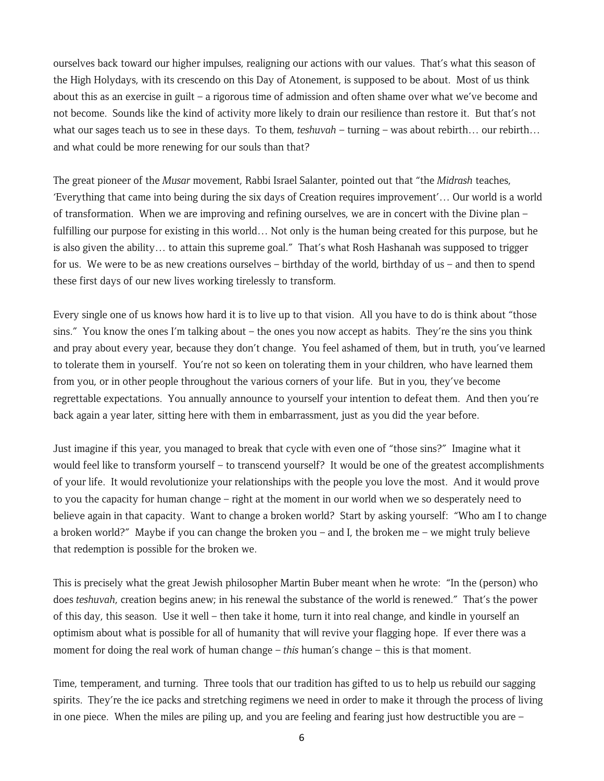ourselves back toward our higher impulses, realigning our actions with our values. That's what this season of the High Holydays, with its crescendo on this Day of Atonement, is supposed to be about. Most of us think about this as an exercise in guilt – a rigorous time of admission and often shame over what we've become and not become. Sounds like the kind of activity more likely to drain our resilience than restore it. But that's not what our sages teach us to see in these days. To them, *teshuvah* – turning – was about rebirth… our rebirth… and what could be more renewing for our souls than that?

The great pioneer of the *Musar* movement, Rabbi Israel Salanter, pointed out that "the *Midrash* teaches, 'Everything that came into being during the six days of Creation requires improvement'… Our world is a world of transformation. When we are improving and refining ourselves, we are in concert with the Divine plan – fulfilling our purpose for existing in this world… Not only is the human being created for this purpose, but he is also given the ability… to attain this supreme goal." That's what Rosh Hashanah was supposed to trigger for us. We were to be as new creations ourselves – birthday of the world, birthday of us – and then to spend these first days of our new lives working tirelessly to transform.

Every single one of us knows how hard it is to live up to that vision. All you have to do is think about "those sins." You know the ones I'm talking about – the ones you now accept as habits. They're the sins you think and pray about every year, because they don't change. You feel ashamed of them, but in truth, you've learned to tolerate them in yourself. You're not so keen on tolerating them in your children, who have learned them from you, or in other people throughout the various corners of your life. But in you, they've become regrettable expectations. You annually announce to yourself your intention to defeat them. And then you're back again a year later, sitting here with them in embarrassment, just as you did the year before.

Just imagine if this year, you managed to break that cycle with even one of "those sins?" Imagine what it would feel like to transform yourself – to transcend yourself? It would be one of the greatest accomplishments of your life. It would revolutionize your relationships with the people you love the most. And it would prove to you the capacity for human change – right at the moment in our world when we so desperately need to believe again in that capacity. Want to change a broken world? Start by asking yourself: "Who am I to change a broken world?" Maybe if you can change the broken you – and I, the broken me – we might truly believe that redemption is possible for the broken we.

This is precisely what the great Jewish philosopher Martin Buber meant when he wrote: "In the (person) who does *teshuvah*, creation begins anew; in his renewal the substance of the world is renewed." That's the power of this day, this season. Use it well – then take it home, turn it into real change, and kindle in yourself an optimism about what is possible for all of humanity that will revive your flagging hope. If ever there was a moment for doing the real work of human change – *this* human's change – this is that moment.

Time, temperament, and turning. Three tools that our tradition has gifted to us to help us rebuild our sagging spirits. They're the ice packs and stretching regimens we need in order to make it through the process of living in one piece. When the miles are piling up, and you are feeling and fearing just how destructible you are –